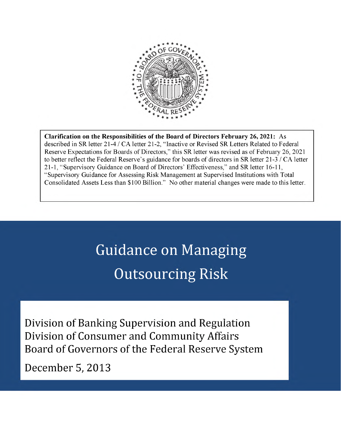

**Clarification on the Responsibilities of the Board of Directors February 26, 2021:** As described in SR letter 21-4 / CA letter 21-2, "Inactive or Revised SR Letters Related to Federal Reserve Expectations for Boards of Directors," this SR letter was revised as of February 26, 2021 to better reflect the Federal Reserve's guidance for boards of directors in SR letter 21-3 / CA letter 21-1, "Supervisory Guidance on Board of Directors' Effectiveness," and SR letter 16-11, "Supervisory Guidance for Assessing Risk Management at Supervised Institutions with Total Consolidated Assets Less than \$100 Billion." No other material changes were made to this letter.

# Guidance on Managing Outsourcing Risk

Division of Banking Supervision and Regulation Division of Consumer and Community Affairs Board of Governors of the Federal Reserve System

December 5, 2013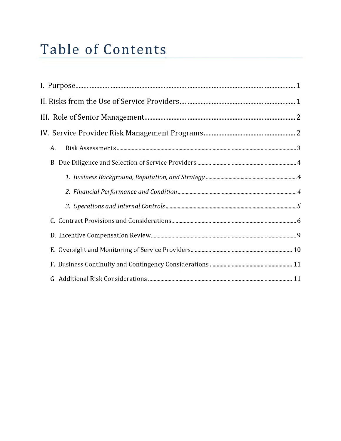# Table of Contents

| Table of Contents |
|-------------------|
|                   |
|                   |
|                   |
|                   |
|                   |
| A.                |
|                   |
|                   |
|                   |
|                   |
|                   |
|                   |
|                   |
|                   |
|                   |
|                   |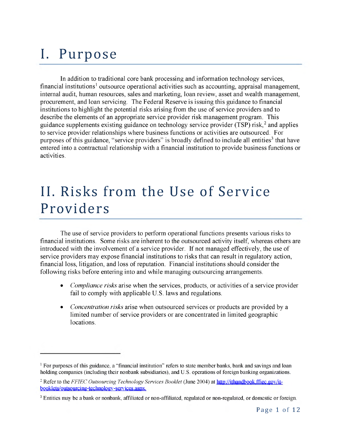# <span id="page-2-0"></span>I. Purpose

In addition to traditional core bank processing and information technology services, financial institutions<sup>1</sup> outsource operational activities such as accounting, appraisal management, internal audit, human resources, sales and marketing, loan review, asset and wealth management, procurement, and loan servicing. The Federal Reserve is issuing this guidance to financial institutions to highlight the potential risks arising from the use of service providers and to describe the elements of an appropriate service provider risk management program. This guidance supplements existing guidance on technology service provider (TSP) risk,<sup>2</sup> and applies to service provider relationships where business functions or activities are outsourced. For purposes of this guidance, "service providers" is broadly defined to include all entities<sup>3</sup> that have entered into a contractual relationship with a financial institution to provide business functions or activities.

# <span id="page-2-1"></span>II. Risks from the Use of Service Providers

The use of service providers to perform operational functions presents various risks to financial institutions. Some risks are inherent to the outsourced activity itself, whereas others are introduced with the involvement of a service provider. If not managed effectively, the use of service providers may expose financial institutions to risks that can result in regulatory action, financial loss, litigation, and loss of reputation. Financial institutionsshould consider the following risks before entering into and while managing outsourcing arrangements.

- *Compliance risks* arise when the services, products, or activities of a service provider fail to comply with applicable U.S. laws and regulations.
- *Concentration risks* arise when outsourced services or products are provided by a limited number of service providers or are concentrated in limited geographic locations.

<span id="page-2-2"></span><sup>&</sup>lt;sup> $1$ </sup> For purposes of this guidance, a "financial institution" refers to state member banks, bank and savings and loan holding companies (including their nonbank subsidiaries), and U.S. operations of foreign banking organizations.

<span id="page-2-3"></span><sup>-</sup> Refer to the *FFIEC Outsourcing Technology Services Booklet* (June 2004) at http[://ithandbook.ffiec](http://ithandbook.ffiec.gov/it-booklets/outsourcing-technology-services.aspx). gov/it[booklets/outsourcing-technology-services.aspx](http://ithandbook.ffiec.gov/it-booklets/outsourcing-technology-services.aspx).

<span id="page-2-4"></span><sup>&</sup>lt;sup>3</sup> Entities may be a bank or nonbank, affiliated or non-affiliated, regulated or non-regulated, or domestic or foreign.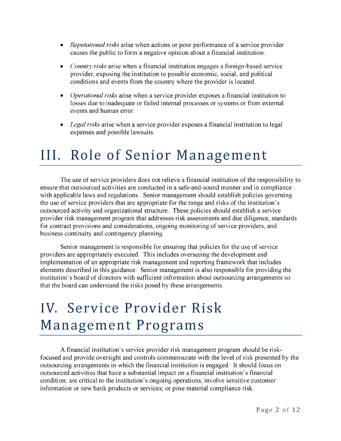- *Reputational risks* arise when actions or poor performance of a service provider causes the public to form a negative opinion about a financial institution.
- *Country risks* arise when a financial institution engages a foreign-based service provider, exposing the institution to possible economic, social, and political conditions and events from the country where the provider is located.
- *Operational risks* arise when a service provider exposes a financial institution to losses due to inadequate or failed internal processes or systems or from external events and human error.
- *Legal risks* arise when a service provider exposes a financial institution to legal expenses and possible lawsuits.

# <span id="page-3-0"></span>III. Role of Senior Management

The use of service providers does not relieve a financial institution of the responsibility to ensure that outsourced activities are conducted in a safe-and-sound manner and in compliance with applicable laws and regulations. Senior management should establish policies governing the use of service providers that are appropriate for the range and risks of the institution's outsourced activity and organizational structure. These policies should establish a service provider risk management program that addresses risk assessments and due diligence, standards for contract provisions and considerations, ongoing monitoring of service providers, and business continuity and contingency planning.

Senior management is responsible for ensuring that policies for the use of service providers are appropriately executed. This includes overseeing the development and implementation of an appropriate risk management and reporting framework that includes elements described in this guidance. Senior management is also responsible for providing the institution's board of directors with sufficient information about outsourcing arrangements so that the board can understand the risks posed by these arrangements.

# IV. Service Provider Risk Management Programs

A financial institution's service provider risk management program should be riskfocused and provide oversight and controls commensurate with the level of risk presented by the outsourcing arrangements in which the financial institution is engaged. It should focus on outsourced activities that have a substantial impact on a financial institution's financial condition; are critical to the institution's ongoing operations; involve sensitive customer information or new bank products or services; or pose material compliance risk.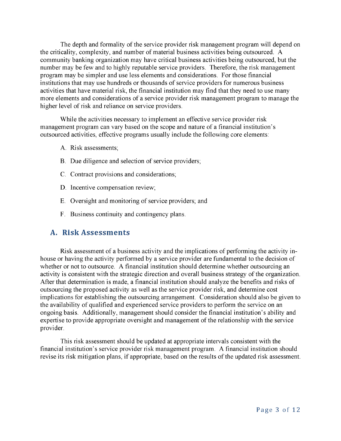The depth and formality of the service provider risk management program will depend on the criticality, complexity, and number of material business activities being outsourced. A community banking organization may have critical business activities being outsourced, but the number may be few and to highly reputable service providers. Therefore, the risk management program may be simpler and use less elements and considerations. For those financial institutions that may use hundreds or thousands of service providers for numerous business activities that have material risk, the financial institution may find that they need to use many more elements and considerations of a service provider risk management program to manage the higher level of risk and reliance on service providers.

While the activities necessary to implement an effective service provider risk management program can vary based on the scope and nature of a financial institution's outsourced activities, effective programs usually include the following core elements:

- A. Risk assessments;
- B. Due diligence and selection of service providers;
- C. Contract provisions and considerations;
- D. Incentive compensation review;
- E. Oversight and monitoring of service providers; and
- F. Business continuity and contingency plans.

#### <span id="page-4-0"></span>**A. Risk Assessments**

Risk assessment of a business activity and the implications of performing the activity inhouse or having the activity performed by a service provider are fundamental to the decision of whether or not to outsource. A financial institution should determine whether outsourcing an activity is consistent with the strategic direction and overall business strategy of the organization. After that determination is made, a financial institution should analyze the benefits and risks of outsourcing the proposed activity as well as the service provider risk, and determine cost implications for establishing the outsourcing arrangement. Consideration should also be given to the availability of qualified and experienced service providers to perform the service on an ongoing basis. Additionally, management should consider the financial institution's ability and expertise to provide appropriate oversight and management of the relationship with the service provider.

This risk assessment should be updated at appropriate intervals consistent with the financial institution's service provider risk management program. A financial institution should revise its risk mitigation plans, if appropriate, based on the results of the updated risk assessment.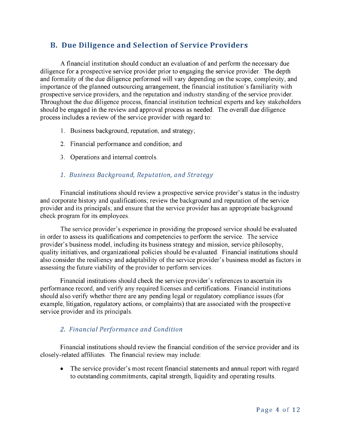### <span id="page-5-0"></span>**B. Due Diligence and Selection of Service Providers**

A financial institution should conduct an evaluation of and perform the necessary due diligence for a prospective service provider prior to engaging the service provider. The depth and formality of the due diligence performed will vary depending on the scope, complexity, and importance of the planned outsourcing arrangement, the financial institution's familiarity with prospective service providers, and the reputation and industry standing of the service provider. Throughout the due diligence process, financial institution technical experts and key stakeholders should be engaged in the review and approval process as needed. The overall due diligence process includes a review of the service provider with regard to:

- 1. Business background, reputation, and strategy;
- 2. Financial performance and condition; and
- <span id="page-5-1"></span>3. Operations and internal controls.

#### *1. Business Background, Reputation, and Strategy*

Financial institutions should review a prospective service provider's status in the industry and corporate history and qualifications; review the background and reputation of the service provider and its principals; and ensure that the service provider has an appropriate background check program for its employees.

The service provider's experience in providing the proposed service should be evaluated in order to assess its qualifications and competencies to perform the service. The service provider's business model, including its business strategy and mission, service philosophy, quality initiatives, and organizational policies should be evaluated. Financial institutions should also consider the resiliency and adaptability of the service provider's business model as factors in assessing the future viability of the provider to perform services.

Financial institutions should check the service provider's references to ascertain its performance record, and verify any required licenses and certifications. Financial institutions should also verify whether there are any pending legal or regulatory compliance issues (for example, litigation, regulatory actions, or complaints) that are associated with the prospective service provider and its principals.

#### <span id="page-5-2"></span>*2. Financial Performance and Condition*

Financial institutions should review the financial condition of the service provider and its closely-related affiliates. The financial review may include:

• The service provider's most recent financial statements and annual report with regard to outstanding commitments, capital strength, liquidity and operating results.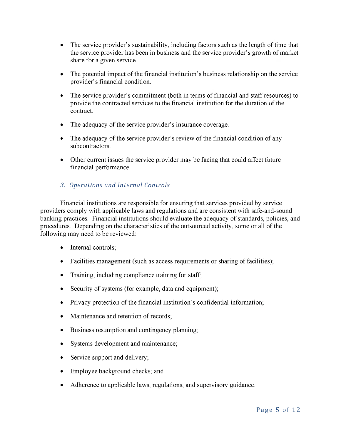- The service provider's sustainability, including factors such as the length of time that the service provider has been in business and the service provider's growth of market share for a given service.
- The potential impact of the financial institution's business relationship on the service provider's financial condition.
- The service provider's commitment (both in terms of financial and staff resources) to provide the contracted services to the financial institution for the duration of the contract.
- The adequacy of the service provider's insurance coverage.
- The adequacy of the service provider's review of the financial condition of any subcontractors.
- Other current issues the service provider may be facing that could affect future financial performance.

#### <span id="page-6-0"></span>*3. Operations and Internal Controls*

Financial institutions are responsible for ensuring that services provided by service providers comply with applicable laws and regulations and are consistent with safe-and-sound banking practices. Financial institutions should evaluate the adequacy of standards, policies, and procedures. Depending on the characteristics of the outsourced activity, some or all of the following may need to be reviewed:

- Internal controls;
- Facilities management (such as access requirements or sharing of facilities);
- Training, including compliance training for staff;
- Security of systems (for example, data and equipment);
- Privacy protection of the financial institution's confidential information;
- Maintenance and retention of records;
- Business resumption and contingency planning;
- Systems development and maintenance;
- Service support and delivery;
- Employee background checks; and
- Adherence to applicable laws, regulations, and supervisory guidance.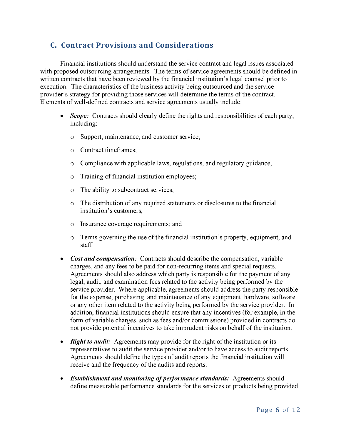### <span id="page-7-0"></span>**C. Contract Provisions and Considerations**

Financial institutions should understand the service contract and legal issues associated with proposed outsourcing arrangements. The terms of service agreements should be defined in written contracts that have been reviewed by the financial institution's legal counsel prior to execution. The characteristics of the business activity being outsourced and the service provider's strategy for providing those services will determine the terms of the contract. Elements of well-defined contracts and service agreements usually include:

- *Scope:* Contracts should clearly define the rights and responsibilities of each party, including:
	- o Support, maintenance, and customer service;
	- o Contract timeframes;
	- o Compliance with applicable laws, regulations, and regulatory guidance;
	- o Training of financial institution employees;
	- o The ability to subcontract services;
	- o The distribution of any required statements or disclosures to the financial institution's customers;
	- o Insurance coverage requirements; and
	- o Terms governing the use of the financial institution's property, equipment, and staff.
- *Cost and compensation:* Contracts should describe the compensation, variable charges, and any fees to be paid for non-recurring items and special requests. Agreements should also address which party is responsible for the payment of any legal, audit, and examination fees related to the activity being performed by the service provider. Where applicable, agreements should address the party responsible for the expense, purchasing, and maintenance of any equipment, hardware, software or any other item related to the activity being performed by the service provider. In addition, financial institutions should ensure that any incentives (for example, in the form of variable charges, such as fees and/or commissions) provided in contracts do not provide potential incentives to take imprudent risks on behalf of the institution.
- *Right to audit:* Agreements may provide for the right of the institution or its representatives to audit the service provider and/or to have access to audit reports. Agreements should define the types of audit reports the financial institution will receive and the frequency of the audits and reports.
- *Establishment and monitoring of performance standards:* Agreements should define measurable performance standards for the services or products being provided.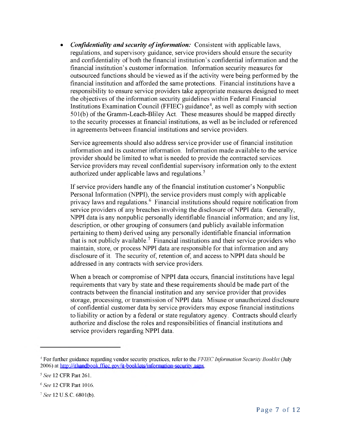• *Confidentiality and security of information:* Consistent with applicable laws, regulations, and supervisory guidance, service providers should ensure the security and confidentiality of both the financial institution's confidential information and the financial institution's customer information. Information security measures for outsourced functions should be viewed as if the activity were being performed by the financial institution and afforded the same protections. Financial institutions have a responsibility to ensure service providers take appropriate measures designed to meet the objectives of the information security guidelines within Federal Financial Institutions Examination Council (FFIEC) guidance<sup>4</sup>, as well as comply with section 501(b) of the Gramm-Leach-Bliley Act. These measures should be mapped directly to the security processes at financial institutions, as well as be included or referenced in agreements between financial institutions and service providers.

Service agreements should also address service provider use of financial institution information and its customer information. Information made available to the service provider should be limited to what is needed to provide the contracted services. Service providers may reveal confidential supervisory information only to the extent authorized under applicable laws and regulations.<sup>5</sup>

If service providers handle any of the financial institution customer's Nonpublic Personal Information (NPPI), the service providers must comply with applicable privacy laws and regulations.<sup>6</sup> Financial institutions should require notification from service providers of any breaches involving the disclosure of NPPI data. Generally, NPPI data is any nonpublic personally identifiable financial information; and any list, description, or other grouping of consumers(and publicly available information pertaining to them) derived using any personally identifiable financial information that is not publicly available.<sup>7</sup> Financial institutions and their service providers who maintain, store, or process NPPI data are responsible for that information and any disclosure of it. The security of, retention of, and access to NPPI data should be addressed in any contacts with service providers.

When a breach or compromise of NPPI data occurs, financial institutions have legal requirements that vary by state and these requirements should be made part of the contacts between the financial institution and any service provider that provides storage, processing, or transmission of NPPI data. Misuse or unauthorized disclosure of confidential customer data by service providers may expose financial institutions to liability or action by a federal or state regulatory agency. Contacts should clearly authorize and disclose the roles and responsibilities of financial institutions and service providers regarding NPPI data.

<span id="page-8-0"></span><sup>-</sup> For further guidance regarding vendor security practices, refer to the *FFIEC Information Security Booklet* (July 2006) at http://ithandbook.ffiec.gov/it-booklets/information-security.aspx.

<span id="page-8-1"></span><sup>&</sup>lt;sup>5</sup> See 12 CFR Patt 261.

<span id="page-8-2"></span><sup>&</sup>lt;sup>6</sup> See 12 CFR Part 1016.

<span id="page-8-3"></span><sup>&</sup>lt;sup>7</sup> See 12 U.S.C. 6801(b).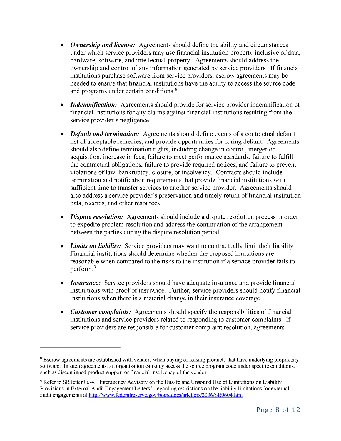- *Ownership and license:* Agreements should define the ability and circumstances under which service providers may use financial institution property inclusive of data, hardware, software, and intellectual property. Agreements should address the ownership and control of any information generated by service providers. If financial institutions purchase software from service providers, escrow agreements may be needed to ensure that financial institutions have the ability to access the source code and programs under certain conditions.<sup>8</sup>
- *Indemnification:* Agreements should provide for service provider indemnification of financial institutions for any claims against financial institutions resulting from the service provider's negligence.
- *Default and termination:* Agreements should define events of a contractual default, list of acceptable remedies, and provide opportunities for curing default. Agreements should also define termination rights, including change in control, merger or acquisition, increase in fees, failure to meet performance standards, failure to fulfill the contractual obligations, failure to provide required notices, and failure to prevent violations of law, bankruptcy, closure, or insolvency. Contracts should include termination and notification requirements that provide financial institutions with sufficient time to transfer services to another service provider. Agreements should also address a service provider's preservation and timely return of financial institution data, records, and other resources.
- *Dispute resolution:* Agreements should include a dispute resolution process in order to expedite problem resolution and address the continuation of the arrangement between the parties during the dispute resolution period.
- *Limits on liability:* Service providers may want to contractually limit their liability. Financial institutions should determine whether the proposed limitations are reasonable when compared to the risks to the institution if a service provider fails to perform. $9$
- *Insurance:* Service providers should have adequate insurance and provide financial institutions with proof of insurance. Further, service providers should notify financial institutions when there is a material change in their insurance coverage.
- *Customer complaints:* Agreements should specify the responsibilities of financial institutions and service providers related to responding to customer complaints. If service providers are responsible for customer complaint resolution, agreements

<span id="page-9-0"></span><sup>&</sup>lt;sup>8</sup> Escrow agreements are established with vendors when buying or leasing products that have underlying proprietary software. In such agreements, an organization can only access the source program code under specific conditions, such as discontinued product support or financial insolvency of the vendor.

<span id="page-9-1"></span> $\degree$  Refer to SR letter 06-4, "Interagency Advisory on the Unsafe and Unsound Use of Limitations on Liability Provisions in External Audit Engagement Letters," regarding restrictions on the liability limitations for external audit engagements at <http://www.federalreserve.gov/boarddocs/srletters/2006/SR0604.htm>.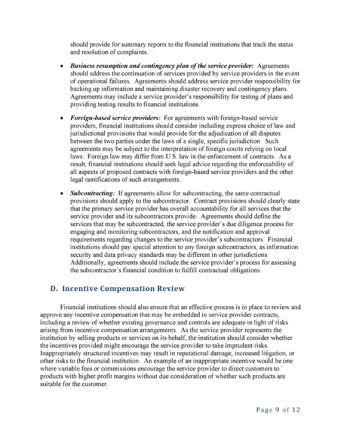should provide for summary reports to the financial institutions that track the status and resolution of complaints.

- *Business resumption and contingency plan of the service provider:* Agreements should address the continuation of services provided by service providers in the event of operational failures. Agreements should address service provider responsibility for backing up information and maintaining disaster recovery and contingency plans. Agreements may include a service provider's responsibility for testing of plans and providing testing results to financial institutions.
- *Foreign-based service providers:* For agreements with foreign-based service providers, financial institutions should consider including express choice of law and jurisdictional provisions that would provide for the adjudication of all disputes between the two parties under the laws of a single, specific jurisdiction. Such agreements may be subject to the interpretation of foreign courts relying on local laws. Foreign law may differ from U.S. law in the enforcement of contracts. As a result, financial institutions should seek legal advice regarding the enforceability of all aspects of proposed contracts with foreign-based service providers and the other legal ramifications of such arrangements.
- **Subcontracting:** If agreements allow for subcontracting, the same contractual provisions should apply to the subcontractor. Contract provisions should clearly state that the primary service provider has overall accountability for all services that the service provider and its subcontractors provide. Agreements should define the services that may be subcontracted, the service provider's due diligence process for engaging and monitoring subcontractors, and the notification and approval requirements regarding changes to the service provider's subcontractors. Financial institutions should pay special attention to any foreign subcontractors, as information security and data privacy standards may be different in other jurisdictions. Additionally, agreements should include the service provider's process for assessing the subcontractor's financial condition to fulfill contractual obligations.

### <span id="page-10-0"></span>**D. Incentive Compensation Review**

Financial institutions should also ensure that an effective process is in place to review and approve any incentive compensation that may be embedded in service provider contracts, including a review of whether existing governance and controls are adequate in light of risks arising from incentive compensation arrangements. As the service provider represents the institution by selling products or services on its behalf, the institution should consider whether the incentives provided might encourage the service provider to take imprudent risks. Inappropriately structured incentives may result in reputational damage, increased litigation, or other risks to the financial institution. An example of an inappropriate incentive would be one where variable fees or commissions encourage the service provider to direct customers to products with higher profit margins without due consideration of whether such products are suitable for the customer.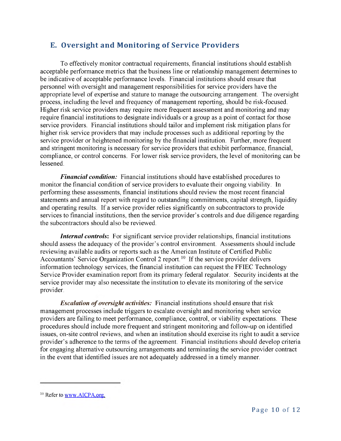### <span id="page-11-0"></span>**E. Oversight and Monitoring of Service Providers**

To effectively monitor contractual requirements, financial institutionsshould establish acceptable performance metrics that the business line or relationship management determines to be indicative of acceptable performance levels. Financial institutions should ensure that personnel with oversight and management responsibilities for service providers have the appropriate level of expertise and stature to manage the outsourcing arrangement. The oversight process, including the level and frequency of management reporting, should be risk-focused. Higher risk service providers may require more frequent assessment and monitoring and may require financial institutions to designate individuals or a group as a point of contact for those service providers. Financial institutions should tailor and implement risk mitigation plans for higher risk service providers that may include processes such as additional reporting by the service provider or heightened monitoring by the financial institution. Further, more frequent and stringent monitoring is necessary for service providers that exhibit performance, financial, compliance, or control concerns. For lower risk service providers, the level of monitoring can be lessened.

*Financial condition:* Financial institutions should have established procedures to monitor the financial condition of service providers to evaluate their ongoing viability. In performing these assessments, financial institutions should review the most recent financial statements and annual report with regard to outstanding commitments, capital strength, liquidity and operating results. If a service provider relies significantly on subcontractors to provide services to financial institutions, then the service provider's controls and due diligence regarding the subcontractors should also be reviewed.

*Internal controls***:** For significant service provider relationships, financial institutions should assess the adequacy of the provider's control environment. Assessments should include reviewing available audits or reports such as the American Institute of Certified Public Accountants' Service Organization Control 2 report.<sup>10</sup> If the service provider delivers information technology services, the financial institution can request the FFIEC Technology Service Provider examination report from its primary federal regulator. Security incidents at the service provider may also necessitate the institution to elevate its monitoring of the service provider.

*Escalation of oversight activities:* Financial institutions should ensure that risk management processes include triggers to escalate oversight and monitoring when service providers are failing to meet performance, compliance, control, or viability expectations. These procedures should include more frequent and stringent monitoring and follow-up on identified issues, on-site control reviews, and when an institution should exercise its right to audit a service provider's adherence to the terms of the agreement. Financial institutions should develop criteria for engaging alternative outsourcing arrangements and terminating the service provider contract in the event that identified issues are not adequately addressed in a timely manner.

<span id="page-11-1"></span> $10$  Refer to [www.AICPA.org](http://www.aicpa.org/).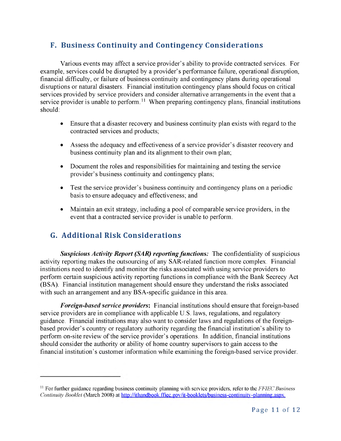### <span id="page-12-0"></span>**F. Business Continuity and Contingency Considerations**

Various events may affect a service provider's ability to provide contracted services. For example, services could be disrupted by a provider's performance failure, operational disruption, financial difficulty, or failure of business continuity and contingency plans during operational disruptions or natural disasters. Financial institution contingency plans should focus on critical services provided by service providers and consider alternative arrangements in the event that a service provider is unable to perform.<sup>11</sup> When preparing contingency plans, financial institutions should:

- Ensure that a disaster recovery and business continuity plan exists with regard to the contracted services and products;
- Assess the adequacy and effectiveness of a service provider's disaster recovery and business continuity plan and its alignment to their own plan;
- Document the roles and responsibilities for maintaining and testing the service provider's business continuity and contingency plans;
- Test the service provider's business continuity and contingency plans on a periodic basis to ensure adequacy and effectiveness; and
- Maintain an exit strategy, including a pool of comparable service providers, in the event that a contracted service provider is unable to perform.

## <span id="page-12-1"></span>**G. Additional Risk Considerations**

*Suspicious Activity Report (SAR) reporting functions:* The confidentiality of suspicious activity reporting makes the outsourcing of any SAR-related function more complex. Financial institutions need to identify and monitor the risks associated with using service providers to perform certain suspicious activity reporting functions in compliance with the Bank Secrecy Act (BSA). Financial institution management should ensure they understand the risks associated with such an arrangement and any BSA-specific guidance in this area.

*Foreign-based service providers***:** Financial institutionsshould ensure that foreign-based service providers are in compliance with applicable U.S. laws, regulations, and regulatory guidance. Financial institutions may also want to consider laws and regulations of the foreignbased provider's country or regulatory authority regarding the financial institution's ability to perform on-site review of the service provider's operations. In addition, financial institutions should consider the authority or ability of home country supervisorsto gain access to the financial institution's customer information while examining the foreign-based service provider.

<span id="page-12-2"></span><sup>-</sup> For further guidance regarding business continuity planning with service providers, refer to the *FFIEC Business Continuity Booklet* (March 2008) at <http://ithandbook.ffiec.gov/it-booklets/business-continuity-planning.aspx>.